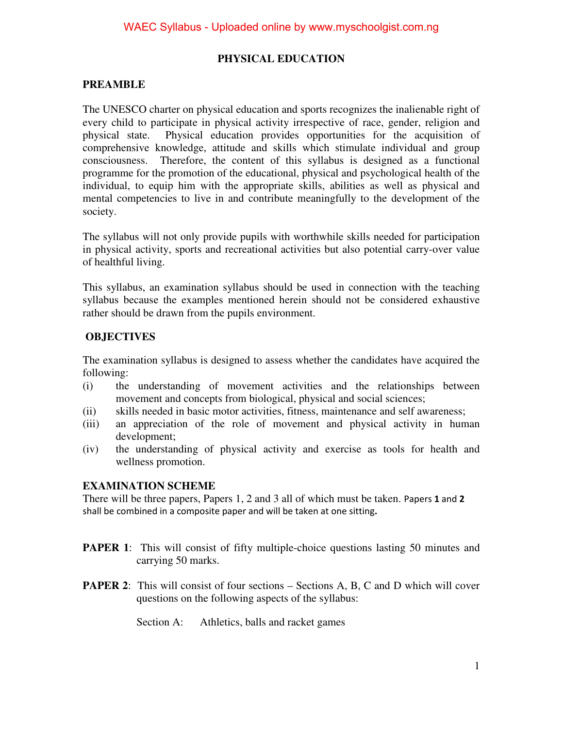### **PHYSICAL EDUCATION**

### **PREAMBLE**

The UNESCO charter on physical education and sports recognizes the inalienable right of every child to participate in physical activity irrespective of race, gender, religion and physical state. Physical education provides opportunities for the acquisition of comprehensive knowledge, attitude and skills which stimulate individual and group consciousness. Therefore, the content of this syllabus is designed as a functional programme for the promotion of the educational, physical and psychological health of the individual, to equip him with the appropriate skills, abilities as well as physical and mental competencies to live in and contribute meaningfully to the development of the society.

The syllabus will not only provide pupils with worthwhile skills needed for participation in physical activity, sports and recreational activities but also potential carry-over value of healthful living.

This syllabus, an examination syllabus should be used in connection with the teaching syllabus because the examples mentioned herein should not be considered exhaustive rather should be drawn from the pupils environment.

### **OBJECTIVES**

The examination syllabus is designed to assess whether the candidates have acquired the following:

- (i) the understanding of movement activities and the relationships between movement and concepts from biological, physical and social sciences;
- (ii) skills needed in basic motor activities, fitness, maintenance and self awareness;
- (iii) an appreciation of the role of movement and physical activity in human development;
- (iv) the understanding of physical activity and exercise as tools for health and wellness promotion.

### **EXAMINATION SCHEME**

There will be three papers, Papers 1, 2 and 3 all of which must be taken. Papers **1** and **2** shall be combined in a composite paper and will be taken at one sitting**.**

- **PAPER 1:** This will consist of fifty multiple-choice questions lasting 50 minutes and carrying 50 marks.
- **PAPER 2**: This will consist of four sections Sections A, B, C and D which will cover questions on the following aspects of the syllabus:
	- Section A: Athletics, balls and racket games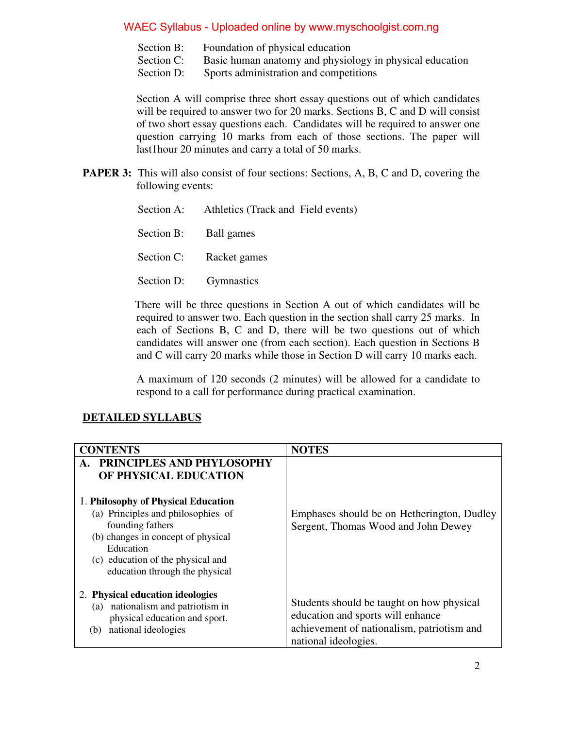- Section B: Foundation of physical education
- Section C: Basic human anatomy and physiology in physical education
- Section D: Sports administration and competitions

Section A will comprise three short essay questions out of which candidates will be required to answer two for 20 marks. Sections B, C and D will consist of two short essay questions each. Candidates will be required to answer one question carrying 10 marks from each of those sections. The paper will last1hour 20 minutes and carry a total of 50 marks.

**PAPER 3:** This will also consist of four sections: Sections, A, B, C and D, covering the following events:

| Section A: Athletics (Track and Field events) |
|-----------------------------------------------|
| Section B: Ball games                         |
| Section C: Racket games                       |
| Section D: Gymnastics                         |

 There will be three questions in Section A out of which candidates will be required to answer two. Each question in the section shall carry 25 marks. In each of Sections B, C and D, there will be two questions out of which candidates will answer one (from each section). Each question in Sections B and C will carry 20 marks while those in Section D will carry 10 marks each.

A maximum of 120 seconds (2 minutes) will be allowed for a candidate to respond to a call for performance during practical examination.

### **DETAILED SYLLABUS**

| <b>CONTENTS</b>                                                                                                                                                                                                                                                                     | <b>NOTES</b>                                                                                                                                         |
|-------------------------------------------------------------------------------------------------------------------------------------------------------------------------------------------------------------------------------------------------------------------------------------|------------------------------------------------------------------------------------------------------------------------------------------------------|
| PRINCIPLES AND PHYLOSOPHY<br>A.<br>OF PHYSICAL EDUCATION<br>1. Philosophy of Physical Education<br>(a) Principles and philosophies of<br>founding fathers<br>(b) changes in concept of physical<br>Education<br>(c) education of the physical and<br>education through the physical | Emphases should be on Hetherington, Dudley<br>Sergent, Thomas Wood and John Dewey                                                                    |
| 2. Physical education ideologies<br>nationalism and patriotism in<br>(a)<br>physical education and sport.<br>national ideologies<br>(b)                                                                                                                                             | Students should be taught on how physical<br>education and sports will enhance<br>achievement of nationalism, patriotism and<br>national ideologies. |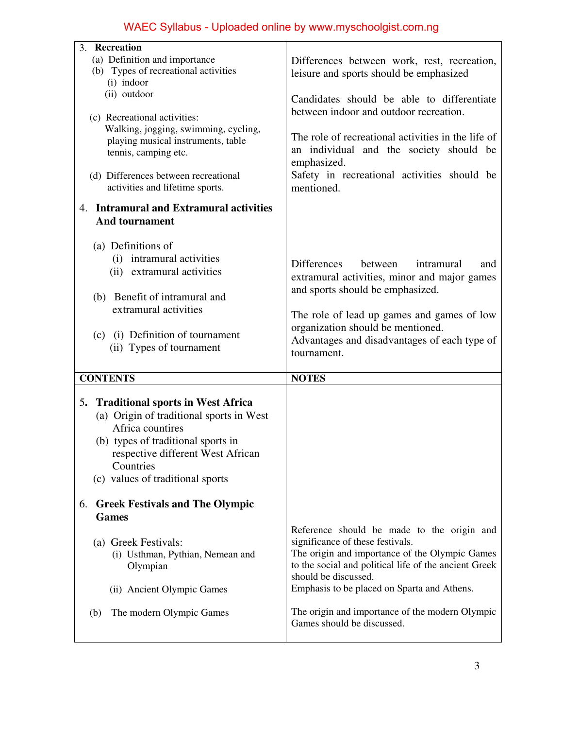| 3. Recreation                                  |                                                                               |
|------------------------------------------------|-------------------------------------------------------------------------------|
| (a) Definition and importance                  | Differences between work, rest, recreation,                                   |
| (b) Types of recreational activities           | leisure and sports should be emphasized                                       |
| (i) indoor                                     |                                                                               |
| (ii) outdoor                                   | Candidates should be able to differentiate                                    |
|                                                | between indoor and outdoor recreation.                                        |
| (c) Recreational activities:                   |                                                                               |
| Walking, jogging, swimming, cycling,           |                                                                               |
| playing musical instruments, table             | The role of recreational activities in the life of                            |
| tennis, camping etc.                           | an individual and the society should be                                       |
|                                                | emphasized.                                                                   |
| (d) Differences between recreational           | Safety in recreational activities should be                                   |
| activities and lifetime sports.                | mentioned.                                                                    |
| 4. Intramural and Extramural activities        |                                                                               |
| <b>And tournament</b>                          |                                                                               |
|                                                |                                                                               |
| (a) Definitions of                             |                                                                               |
| (i) intramural activities                      |                                                                               |
| (ii) extramural activities                     | <b>Differences</b><br>between<br>intramural<br>and                            |
|                                                | extramural activities, minor and major games                                  |
|                                                | and sports should be emphasized.                                              |
| (b) Benefit of intramural and                  |                                                                               |
| extramural activities                          | The role of lead up games and games of low                                    |
|                                                | organization should be mentioned.                                             |
| (c) (i) Definition of tournament               | Advantages and disadvantages of each type of                                  |
|                                                |                                                                               |
| (ii) Types of tournament                       | tournament.                                                                   |
|                                                |                                                                               |
| <b>CONTENTS</b>                                | <b>NOTES</b>                                                                  |
|                                                |                                                                               |
| <b>Traditional sports in West Africa</b><br>5. |                                                                               |
| (a) Origin of traditional sports in West       |                                                                               |
| Africa countires                               |                                                                               |
|                                                |                                                                               |
| (b) types of traditional sports in             |                                                                               |
| respective different West African              |                                                                               |
| Countries                                      |                                                                               |
| (c) values of traditional sports               |                                                                               |
|                                                |                                                                               |
| 6. Greek Festivals and The Olympic             |                                                                               |
| <b>Games</b>                                   |                                                                               |
|                                                | Reference should be made to the origin and                                    |
| (a) Greek Festivals:                           | significance of these festivals.                                              |
| (i) Usthman, Pythian, Nemean and               | The origin and importance of the Olympic Games                                |
| Olympian                                       | to the social and political life of the ancient Greek<br>should be discussed. |
|                                                |                                                                               |
| (ii) Ancient Olympic Games                     | Emphasis to be placed on Sparta and Athens.                                   |
| The modern Olympic Games<br>(b)                | The origin and importance of the modern Olympic                               |
|                                                | Games should be discussed.                                                    |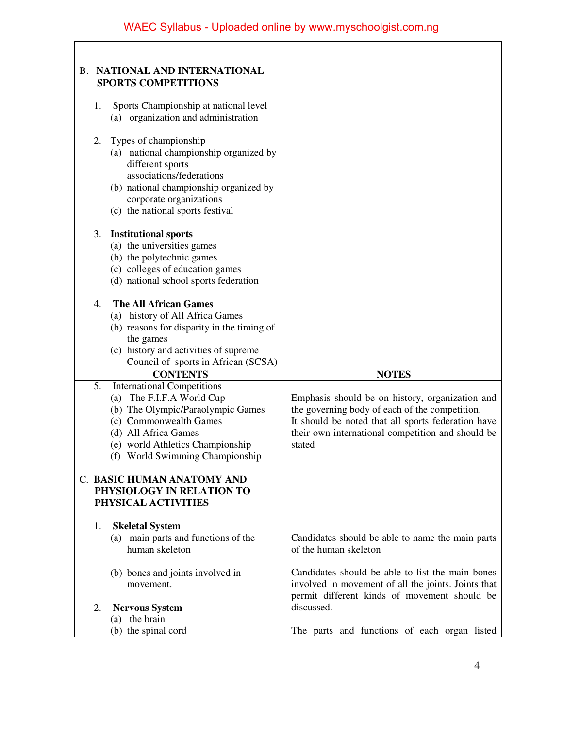| NATIONAL AND INTERNATIONAL<br>В.<br><b>SPORTS COMPETITIONS</b>                                                                                                                                                                     |                                                                                                                                                                                                                        |
|------------------------------------------------------------------------------------------------------------------------------------------------------------------------------------------------------------------------------------|------------------------------------------------------------------------------------------------------------------------------------------------------------------------------------------------------------------------|
| Sports Championship at national level<br>1.<br>(a) organization and administration                                                                                                                                                 |                                                                                                                                                                                                                        |
| Types of championship<br>2.<br>(a) national championship organized by<br>different sports<br>associations/federations<br>(b) national championship organized by<br>corporate organizations<br>(c) the national sports festival     |                                                                                                                                                                                                                        |
| 3.<br><b>Institutional sports</b><br>(a) the universities games<br>(b) the polytechnic games<br>(c) colleges of education games<br>(d) national school sports federation                                                           |                                                                                                                                                                                                                        |
| <b>The All African Games</b><br>4.<br>(a) history of All Africa Games<br>(b) reasons for disparity in the timing of<br>the games<br>(c) history and activities of supreme<br>Council of sports in African (SCSA)                   |                                                                                                                                                                                                                        |
| <b>CONTENTS</b>                                                                                                                                                                                                                    | <b>NOTES</b>                                                                                                                                                                                                           |
| 5.<br><b>International Competitions</b><br>(a) The F.I.F.A World Cup<br>(b) The Olympic/Paraolympic Games<br>(c) Commonwealth Games<br>(d) All Africa Games<br>(e) world Athletics Championship<br>(f) World Swimming Championship | Emphasis should be on history, organization and<br>the governing body of each of the competition.<br>It should be noted that all sports federation have<br>their own international competition and should be<br>stated |
| C. BASIC HUMAN ANATOMY AND<br>PHYSIOLOGY IN RELATION TO<br>PHYSICAL ACTIVITIES                                                                                                                                                     |                                                                                                                                                                                                                        |
| 1.<br><b>Skeletal System</b><br>(a) main parts and functions of the<br>human skeleton                                                                                                                                              | Candidates should be able to name the main parts<br>of the human skeleton                                                                                                                                              |
| (b) bones and joints involved in<br>movement.<br>2.                                                                                                                                                                                | Candidates should be able to list the main bones<br>involved in movement of all the joints. Joints that<br>permit different kinds of movement should be<br>discussed.                                                  |
| <b>Nervous System</b><br>(a) the brain                                                                                                                                                                                             |                                                                                                                                                                                                                        |
| (b) the spinal cord                                                                                                                                                                                                                | The parts and functions of each organ listed                                                                                                                                                                           |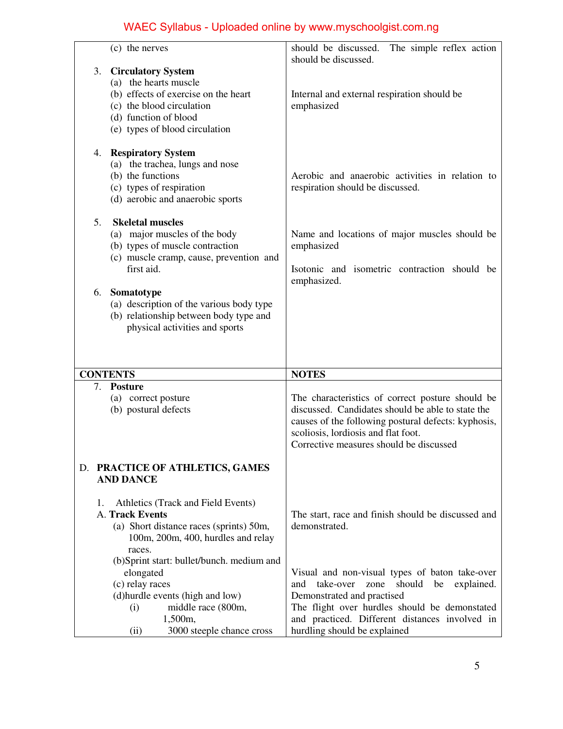| (c) the nerves                                                                                                                                                                           | should be discussed. The simple reflex action<br>should be discussed.                                                                                                                                                                          |
|------------------------------------------------------------------------------------------------------------------------------------------------------------------------------------------|------------------------------------------------------------------------------------------------------------------------------------------------------------------------------------------------------------------------------------------------|
| <b>Circulatory System</b><br>3.<br>(a) the hearts muscle<br>(b) effects of exercise on the heart<br>(c) the blood circulation<br>(d) function of blood<br>(e) types of blood circulation | Internal and external respiration should be<br>emphasized                                                                                                                                                                                      |
| <b>Respiratory System</b><br>4.<br>(a) the trachea, lungs and nose<br>(b) the functions<br>(c) types of respiration<br>(d) aerobic and anaerobic sports                                  | Aerobic and anaerobic activities in relation to<br>respiration should be discussed.                                                                                                                                                            |
| <b>Skeletal muscles</b><br>5.<br>(a) major muscles of the body<br>(b) types of muscle contraction<br>(c) muscle cramp, cause, prevention and<br>first aid.                               | Name and locations of major muscles should be<br>emphasized<br>Isotonic and isometric contraction should be<br>emphasized.                                                                                                                     |
| Somatotype<br>6.<br>(a) description of the various body type<br>(b) relationship between body type and<br>physical activities and sports                                                 |                                                                                                                                                                                                                                                |
| <b>CONTENTS</b>                                                                                                                                                                          | <b>NOTES</b>                                                                                                                                                                                                                                   |
| <b>Posture</b><br>7.<br>(a) correct posture<br>(b) postural defects                                                                                                                      | The characteristics of correct posture should be<br>discussed. Candidates should be able to state the<br>causes of the following postural defects: kyphosis,<br>scoliosis, lordiosis and flat foot.<br>Corrective measures should be discussed |
| D. PRACTICE OF ATHLETICS, GAMES<br><b>AND DANCE</b>                                                                                                                                      |                                                                                                                                                                                                                                                |
| Athletics (Track and Field Events)<br>1.<br>A. Track Events<br>(a) Short distance races (sprints) 50m,<br>100m, 200m, 400, hurdles and relay                                             | The start, race and finish should be discussed and<br>demonstrated.                                                                                                                                                                            |
| races.<br>(b)Sprint start: bullet/bunch. medium and<br>elongated<br>(c) relay races<br>(d) hurdle events (high and low)<br>middle race (800m,                                            | Visual and non-visual types of baton take-over<br>should<br>take-over<br>be<br>explained.<br>and<br>zone<br>Demonstrated and practised                                                                                                         |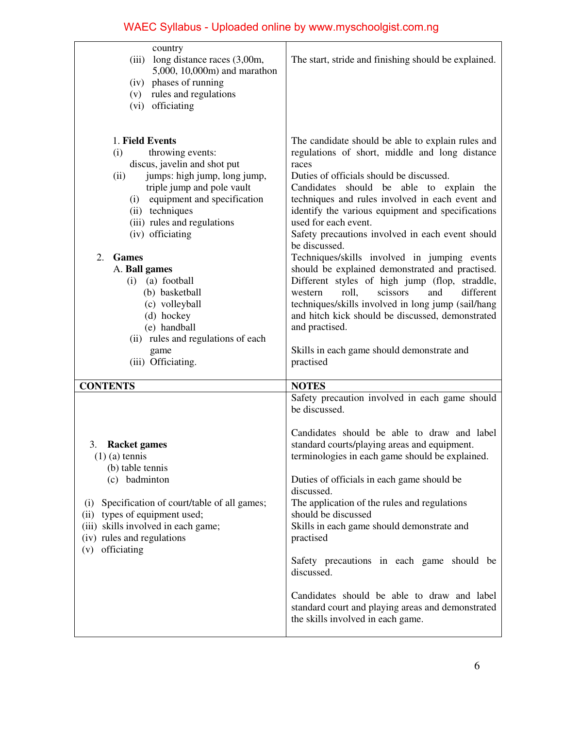| country<br>long distance races (3,00m,<br>(iii)<br>5,000, 10,000m) and marathon<br>(iv) phases of running<br>(v) rules and regulations<br>(vi) officiating                                                                                                                                                                                                                                                                                                    | The start, stride and finishing should be explained.                                                                                                                                                                                                                                                                                                                                                                                                                                                                                                                                                                                                                                                                                                                                                            |
|---------------------------------------------------------------------------------------------------------------------------------------------------------------------------------------------------------------------------------------------------------------------------------------------------------------------------------------------------------------------------------------------------------------------------------------------------------------|-----------------------------------------------------------------------------------------------------------------------------------------------------------------------------------------------------------------------------------------------------------------------------------------------------------------------------------------------------------------------------------------------------------------------------------------------------------------------------------------------------------------------------------------------------------------------------------------------------------------------------------------------------------------------------------------------------------------------------------------------------------------------------------------------------------------|
| 1. Field Events<br>throwing events:<br>(i)<br>discus, javelin and shot put<br>jumps: high jump, long jump,<br>(ii)<br>triple jump and pole vault<br>(i) equipment and specification<br>(ii) techniques<br>(iii) rules and regulations<br>(iv) officiating<br>2.<br><b>Games</b><br>A. Ball games<br>(a) football<br>(i)<br>(b) basketball<br>(c) volleyball<br>(d) hockey<br>(e) handball<br>(ii) rules and regulations of each<br>game<br>(iii) Officiating. | The candidate should be able to explain rules and<br>regulations of short, middle and long distance<br>races<br>Duties of officials should be discussed.<br>Candidates<br>should be able to explain<br>the<br>techniques and rules involved in each event and<br>identify the various equipment and specifications<br>used for each event.<br>Safety precautions involved in each event should<br>be discussed.<br>Techniques/skills involved in jumping events<br>should be explained demonstrated and practised.<br>Different styles of high jump (flop, straddle,<br>roll,<br>scissors<br>and<br>different<br>western<br>techniques/skills involved in long jump (sail/hang<br>and hitch kick should be discussed, demonstrated<br>and practised.<br>Skills in each game should demonstrate and<br>practised |
| <b>CONTENTS</b>                                                                                                                                                                                                                                                                                                                                                                                                                                               | <b>NOTES</b>                                                                                                                                                                                                                                                                                                                                                                                                                                                                                                                                                                                                                                                                                                                                                                                                    |
| 3. Racket games<br>$(1)$ (a) tennis<br>(b) table tennis<br>(c) badminton<br>Specification of court/table of all games;<br>(i)<br>(ii) types of equipment used;<br>(iii) skills involved in each game;<br>(iv) rules and regulations<br>officiating<br>(v)                                                                                                                                                                                                     | Safety precaution involved in each game should<br>be discussed.<br>Candidates should be able to draw and label<br>standard courts/playing areas and equipment.<br>terminologies in each game should be explained.<br>Duties of officials in each game should be<br>discussed.<br>The application of the rules and regulations<br>should be discussed<br>Skills in each game should demonstrate and<br>practised<br>Safety precautions in each game should be<br>discussed.<br>Candidates should be able to draw and label<br>standard court and playing areas and demonstrated<br>the skills involved in each game.                                                                                                                                                                                             |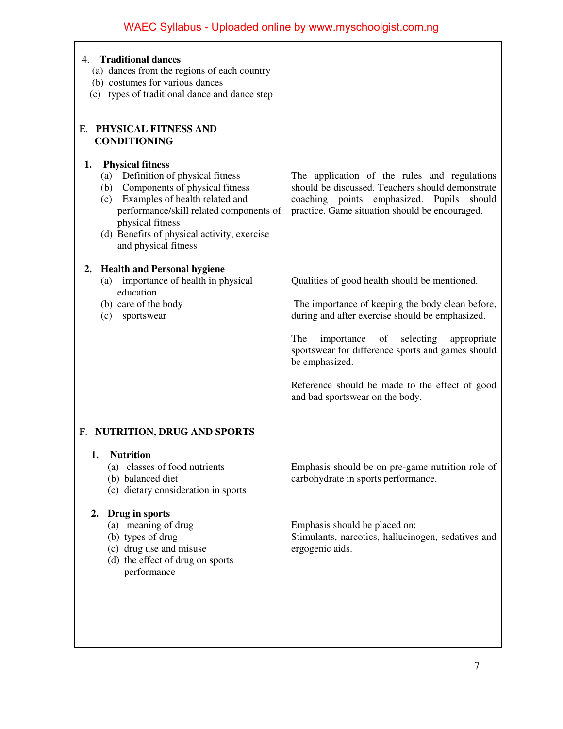| 4. Traditional dances<br>(a) dances from the regions of each country<br>(b) costumes for various dances<br>(c) types of traditional dance and dance step                                                                                                                              |                                                                                                                                                                                                 |
|---------------------------------------------------------------------------------------------------------------------------------------------------------------------------------------------------------------------------------------------------------------------------------------|-------------------------------------------------------------------------------------------------------------------------------------------------------------------------------------------------|
| E. PHYSICAL FITNESS AND<br><b>CONDITIONING</b>                                                                                                                                                                                                                                        |                                                                                                                                                                                                 |
| <b>Physical fitness</b><br>1.<br>(a) Definition of physical fitness<br>(b) Components of physical fitness<br>(c) Examples of health related and<br>performance/skill related components of<br>physical fitness<br>(d) Benefits of physical activity, exercise<br>and physical fitness | The application of the rules and regulations<br>should be discussed. Teachers should demonstrate<br>coaching points emphasized. Pupils should<br>practice. Game situation should be encouraged. |
| <b>Health and Personal hygiene</b><br>2.<br>(a) importance of health in physical                                                                                                                                                                                                      | Qualities of good health should be mentioned.                                                                                                                                                   |
| education<br>(b) care of the body<br>sportswear<br>(c)                                                                                                                                                                                                                                | The importance of keeping the body clean before,<br>during and after exercise should be emphasized.                                                                                             |
|                                                                                                                                                                                                                                                                                       | The<br>of selecting<br>importance<br>appropriate<br>sportswear for difference sports and games should<br>be emphasized.                                                                         |
|                                                                                                                                                                                                                                                                                       | Reference should be made to the effect of good<br>and bad sportswear on the body.                                                                                                               |
| F. NUTRITION, DRUG AND SPORTS                                                                                                                                                                                                                                                         |                                                                                                                                                                                                 |
| 1. Nutrition<br>(a) classes of food nutrients<br>(b) balanced diet<br>(c) dietary consideration in sports                                                                                                                                                                             | Emphasis should be on pre-game nutrition role of<br>carbohydrate in sports performance.                                                                                                         |
| Drug in sports<br>2.<br>(a) meaning of drug<br>(b) types of drug<br>(c) drug use and misuse<br>(d) the effect of drug on sports<br>performance                                                                                                                                        | Emphasis should be placed on:<br>Stimulants, narcotics, hallucinogen, sedatives and<br>ergogenic aids.                                                                                          |
|                                                                                                                                                                                                                                                                                       |                                                                                                                                                                                                 |